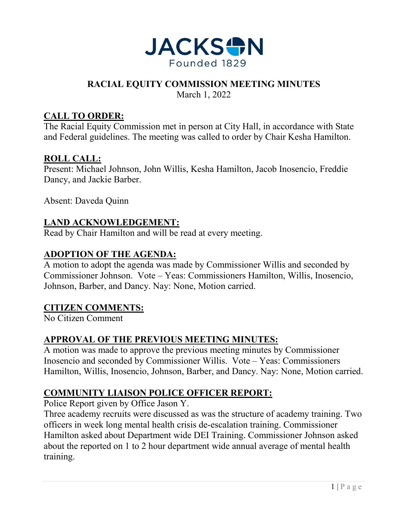

#### **RACIAL EQUITY COMMISSION MEETING MINUTES**

March 1, 2022

### **CALL TO ORDER:**

The Racial Equity Commission met in person at City Hall, in accordance with State and Federal guidelines. The meeting was called to order by Chair Kesha Hamilton.

#### **ROLL CALL:**

Present: Michael Johnson, John Willis, Kesha Hamilton, Jacob Inosencio, Freddie Dancy, and Jackie Barber.

Absent: Daveda Quinn

# **LAND ACKNOWLEDGEMENT:**

Read by Chair Hamilton and will be read at every meeting.

#### **ADOPTION OF THE AGENDA:**

A motion to adopt the agenda was made by Commissioner Willis and seconded by Commissioner Johnson. Vote – Yeas: Commissioners Hamilton, Willis, Inosencio, Johnson, Barber, and Dancy. Nay: None, Motion carried.

#### **CITIZEN COMMENTS:**

No Citizen Comment

# **APPROVAL OF THE PREVIOUS MEETING MINUTES:**

A motion was made to approve the previous meeting minutes by Commissioner Inosencio and seconded by Commissioner Willis. Vote – Yeas: Commissioners Hamilton, Willis, Inosencio, Johnson, Barber, and Dancy. Nay: None, Motion carried.

# **COMMUNITY LIAISON POLICE OFFICER REPORT:**

Police Report given by Office Jason Y.

Three academy recruits were discussed as was the structure of academy training. Two officers in week long mental health crisis de-escalation training. Commissioner Hamilton asked about Department wide DEI Training. Commissioner Johnson asked about the reported on 1 to 2 hour department wide annual average of mental health training.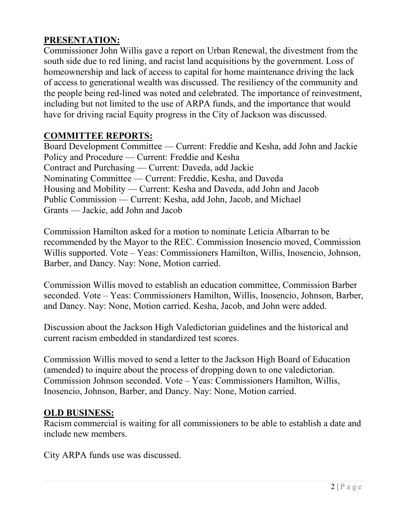# **PRESENTATION:**

Commissioner John Willis gave a report on Urban Renewal, the divestment from the south side due to red lining, and racist land acquisitions by the government. Loss of homeownership and lack of access to capital for home maintenance driving the lack of access to generational wealth was discussed. The resiliency of the community and the people being red-lined was noted and celebrated. The importance of reinvestment, including but not limited to the use of ARPA funds, and the importance that would have for driving racial Equity progress in the City of Jackson was discussed.

# **COMMITTEE REPORTS:**

Board Development Committee — Current: Freddie and Kesha, add John and Jackie Policy and Procedure — Current: Freddie and Kesha Contract and Purchasing — Current: Daveda, add Jackie Nominating Committee — Current: Freddie, Kesha, and Daveda Housing and Mobility — Current: Kesha and Daveda, add John and Jacob Public Commission — Current: Kesha, add John, Jacob, and Michael Grants — Jackie, add John and Jacob

Commission Hamilton asked for a motion to nominate Leticia Albarran to be recommended by the Mayor to the REC. Commission Inosencio moved, Commission Willis supported. Vote – Yeas: Commissioners Hamilton, Willis, Inosencio, Johnson, Barber, and Dancy. Nay: None, Motion carried.

Commission Willis moved to establish an education committee, Commission Barber seconded. Vote – Yeas: Commissioners Hamilton, Willis, Inosencio, Johnson, Barber, and Dancy. Nay: None, Motion carried. Kesha, Jacob, and John were added.

Discussion about the Jackson High Valedictorian guidelines and the historical and current racism embedded in standardized test scores.

Commission Willis moved to send a letter to the Jackson High Board of Education (amended) to inquire about the process of dropping down to one valedictorian. Commission Johnson seconded. Vote – Yeas: Commissioners Hamilton, Willis, Inosencio, Johnson, Barber, and Dancy. Nay: None, Motion carried.

# **OLD BUSINESS:**

Racism commercial is waiting for all commissioners to be able to establish a date and include new members.

City ARPA funds use was discussed.